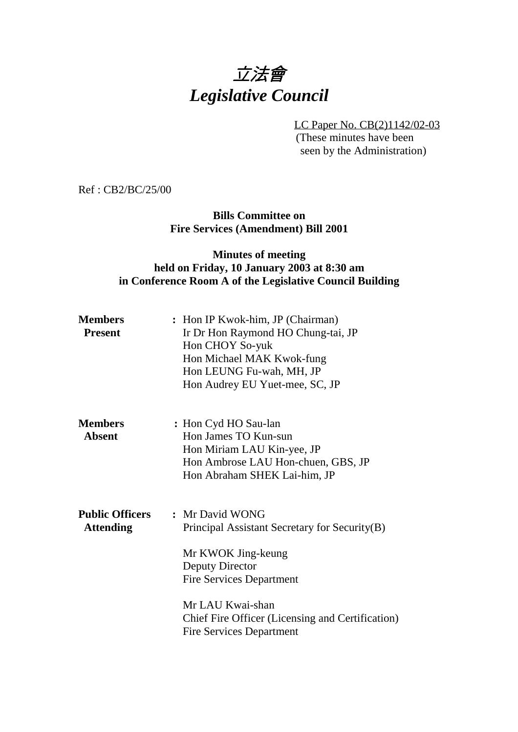# 立法會 *Legislative Council*

LC Paper No. CB(2)1142/02-03 (These minutes have been seen by the Administration)

Ref : CB2/BC/25/00

**Bills Committee on Fire Services (Amendment) Bill 2001**

### **Minutes of meeting held on Friday, 10 January 2003 at 8:30 am in Conference Room A of the Legislative Council Building**

| <b>Members</b><br><b>Present</b>           | : Hon IP Kwok-him, JP (Chairman)<br>Ir Dr Hon Raymond HO Chung-tai, JP<br>Hon CHOY So-yuk<br>Hon Michael MAK Kwok-fung<br>Hon LEUNG Fu-wah, MH, JP<br>Hon Audrey EU Yuet-mee, SC, JP                                                                    |
|--------------------------------------------|---------------------------------------------------------------------------------------------------------------------------------------------------------------------------------------------------------------------------------------------------------|
| <b>Members</b><br><b>Absent</b>            | : Hon Cyd HO Sau-lan<br>Hon James TO Kun-sun<br>Hon Miriam LAU Kin-yee, JP<br>Hon Ambrose LAU Hon-chuen, GBS, JP<br>Hon Abraham SHEK Lai-him, JP                                                                                                        |
| <b>Public Officers</b><br><b>Attending</b> | : Mr David WONG<br>Principal Assistant Secretary for Security(B)<br>Mr KWOK Jing-keung<br>Deputy Director<br><b>Fire Services Department</b><br>Mr LAU Kwai-shan<br>Chief Fire Officer (Licensing and Certification)<br><b>Fire Services Department</b> |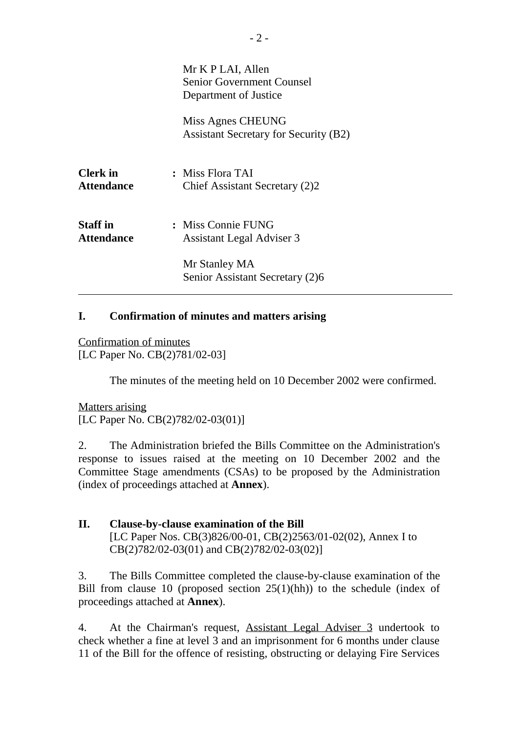|                                      | Mr K P LAI, Allen<br><b>Senior Government Counsel</b><br>Department of Justice |
|--------------------------------------|--------------------------------------------------------------------------------|
|                                      | Miss Agnes CHEUNG<br><b>Assistant Secretary for Security (B2)</b>              |
| <b>Clerk</b> in<br><b>Attendance</b> | : Miss Flora TAI<br>Chief Assistant Secretary (2)2                             |
| <b>Staff</b> in<br><b>Attendance</b> | : Miss Connie FUNG<br><b>Assistant Legal Adviser 3</b>                         |
|                                      | Mr Stanley MA<br>Senior Assistant Secretary (2)6                               |

#### **I. Confirmation of minutes and matters arising**

Confirmation of minutes [LC Paper No. CB(2)781/02-03]

The minutes of the meeting held on 10 December 2002 were confirmed.

Matters arising [LC Paper No. CB(2)782/02-03(01)]

2. The Administration briefed the Bills Committee on the Administration's response to issues raised at the meeting on 10 December 2002 and the Committee Stage amendments (CSAs) to be proposed by the Administration (index of proceedings attached at **Annex**).

**II. Clause-by-clause examination of the Bill** [LC Paper Nos. CB(3)826/00-01, CB(2)2563/01-02(02), Annex I to CB(2)782/02-03(01) and CB(2)782/02-03(02)]

3. The Bills Committee completed the clause-by-clause examination of the Bill from clause 10 (proposed section  $25(1)(hh)$ ) to the schedule (index of proceedings attached at **Annex**).

4. At the Chairman's request, Assistant Legal Adviser 3 undertook to check whether a fine at level 3 and an imprisonment for 6 months under clause 11 of the Bill for the offence of resisting, obstructing or delaying Fire Services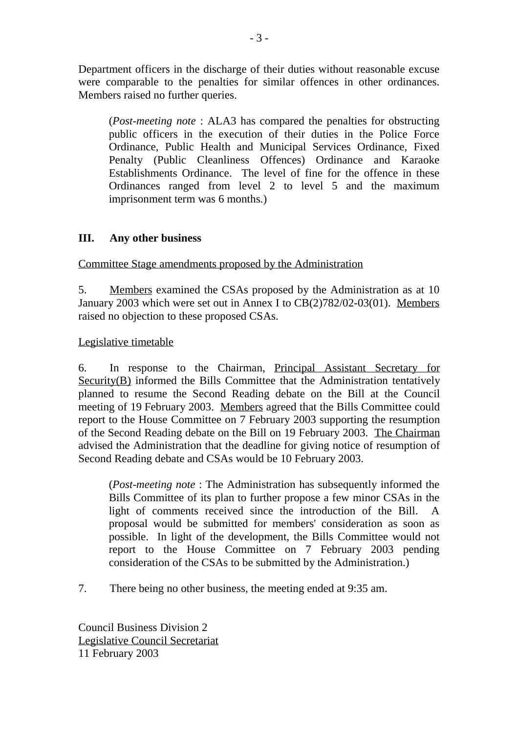Department officers in the discharge of their duties without reasonable excuse were comparable to the penalties for similar offences in other ordinances. Members raised no further queries.

(*Post-meeting note* : ALA3 has compared the penalties for obstructing public officers in the execution of their duties in the Police Force Ordinance, Public Health and Municipal Services Ordinance, Fixed Penalty (Public Cleanliness Offences) Ordinance and Karaoke Establishments Ordinance. The level of fine for the offence in these Ordinances ranged from level 2 to level 5 and the maximum imprisonment term was 6 months.)

#### **III. Any other business**

Committee Stage amendments proposed by the Administration

5. Members examined the CSAs proposed by the Administration as at 10 January 2003 which were set out in Annex I to CB(2)782/02-03(01). Members raised no objection to these proposed CSAs.

Legislative timetable

6. In response to the Chairman, Principal Assistant Secretary for Security(B) informed the Bills Committee that the Administration tentatively planned to resume the Second Reading debate on the Bill at the Council meeting of 19 February 2003. Members agreed that the Bills Committee could report to the House Committee on 7 February 2003 supporting the resumption of the Second Reading debate on the Bill on 19 February 2003. The Chairman advised the Administration that the deadline for giving notice of resumption of Second Reading debate and CSAs would be 10 February 2003.

(*Post-meeting note* : The Administration has subsequently informed the Bills Committee of its plan to further propose a few minor CSAs in the light of comments received since the introduction of the Bill. A proposal would be submitted for members' consideration as soon as possible. In light of the development, the Bills Committee would not report to the House Committee on 7 February 2003 pending consideration of the CSAs to be submitted by the Administration.)

7. There being no other business, the meeting ended at 9:35 am.

Council Business Division 2 Legislative Council Secretariat 11 February 2003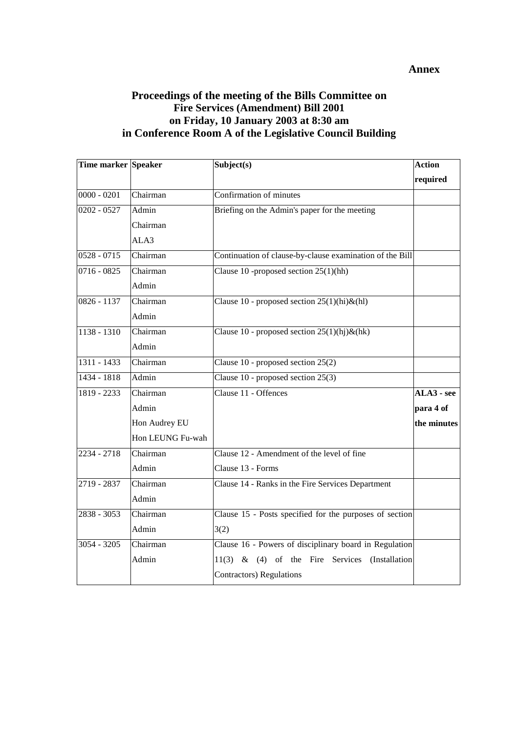#### **Annex**

#### **Proceedings of the meeting of the Bills Committee on Fire Services (Amendment) Bill 2001 on Friday, 10 January 2003 at 8:30 am in Conference Room A of the Legislative Council Building**

| Time marker Speaker |                  | Subject(s)                                                   | <b>Action</b> |
|---------------------|------------------|--------------------------------------------------------------|---------------|
|                     |                  |                                                              | required      |
| $0000 - 0201$       | Chairman         | Confirmation of minutes                                      |               |
| $0202 - 0527$       | Admin            | Briefing on the Admin's paper for the meeting                |               |
|                     | Chairman         |                                                              |               |
|                     | ALA3             |                                                              |               |
| $0528 - 0715$       | Chairman         | Continuation of clause-by-clause examination of the Bill     |               |
| $0716 - 0825$       | Chairman         | Clause 10 -proposed section $25(1)(hh)$                      |               |
|                     | Admin            |                                                              |               |
| $0826 - 1137$       | Chairman         | Clause 10 - proposed section $25(1)(\text{hi})\&(\text{hl})$ |               |
|                     | Admin            |                                                              |               |
| $1138 - 1310$       | Chairman         | Clause 10 - proposed section $25(1)(hj) \& (hk)$             |               |
|                     | Admin            |                                                              |               |
| $1311 - 1433$       | Chairman         | Clause 10 - proposed section 25(2)                           |               |
| 1434 - 1818         | Admin            | Clause 10 - proposed section 25(3)                           |               |
| 1819 - 2233         | Chairman         | Clause 11 - Offences                                         | $ALA3 - see$  |
|                     | Admin            |                                                              | para 4 of     |
|                     | Hon Audrey EU    |                                                              | the minutes   |
|                     | Hon LEUNG Fu-wah |                                                              |               |
| 2234 - 2718         | Chairman         | Clause 12 - Amendment of the level of fine                   |               |
|                     | Admin            | Clause 13 - Forms                                            |               |
| $2719 - 2837$       | Chairman         | Clause 14 - Ranks in the Fire Services Department            |               |
|                     | Admin            |                                                              |               |
| $2838 - 3053$       | Chairman         | Clause 15 - Posts specified for the purposes of section      |               |
|                     | Admin            | 3(2)                                                         |               |
| $3054 - 3205$       | Chairman         | Clause 16 - Powers of disciplinary board in Regulation       |               |
|                     | Admin            | $11(3)$ & (4) of the Fire Services<br>(Installation          |               |
|                     |                  | <b>Contractors</b> ) Regulations                             |               |